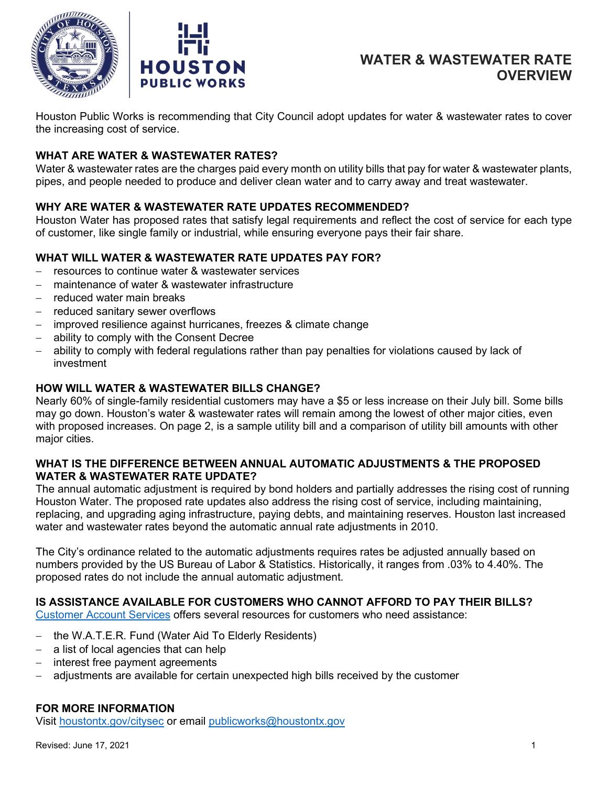

Houston Public Works is recommending that City Council adopt updates for water & wastewater rates to cover the increasing cost of service.

# **WHAT ARE WATER & WASTEWATER RATES?**

Water & wastewater rates are the charges paid every month on utility bills that pay for water & wastewater plants, pipes, and people needed to produce and deliver clean water and to carry away and treat wastewater.

## **WHY ARE WATER & WASTEWATER RATE UPDATES RECOMMENDED?**

Houston Water has proposed rates that satisfy legal requirements and reflect the cost of service for each type of customer, like single family or industrial, while ensuring everyone pays their fair share.

# **WHAT WILL WATER & WASTEWATER RATE UPDATES PAY FOR?**

- − resources to continue water & wastewater services
- maintenance of water & wastewater infrastructure
- − reduced water main breaks
- reduced sanitary sewer overflows
- improved resilience against hurricanes, freezes & climate change
- ability to comply with the Consent Decree
- ability to comply with federal regulations rather than pay penalties for violations caused by lack of investment

## **HOW WILL WATER & WASTEWATER BILLS CHANGE?**

Nearly 60% of single-family residential customers may have a \$5 or less increase on their July bill. Some bills may go down. Houston's water & wastewater rates will remain among the lowest of other major cities, even with proposed increases. On page 2, is a sample utility bill and a comparison of utility bill amounts with other major cities.

#### **WHAT IS THE DIFFERENCE BETWEEN ANNUAL AUTOMATIC ADJUSTMENTS & THE PROPOSED WATER & WASTEWATER RATE UPDATE?**

The annual automatic adjustment is required by bond holders and partially addresses the rising cost of running Houston Water. The proposed rate updates also address the rising cost of service, including maintaining, replacing, and upgrading aging infrastructure, paying debts, and maintaining reserves. Houston last increased water and wastewater rates beyond the automatic annual rate adjustments in 2010.

The City's ordinance related to the automatic adjustments requires rates be adjusted annually based on numbers provided by the US Bureau of Labor & Statistics. Historically, it ranges from .03% to 4.40%. The proposed rates do not include the annual automatic adjustment.

## **IS ASSISTANCE AVAILABLE FOR CUSTOMERS WHO CANNOT AFFORD TO PAY THEIR BILLS?**

[Customer Account Services](https://www.houstonwaterbills.houstontx.gov/ProdDP/Default/Default) offers several resources for customers who need assistance:

- − the W.A.T.E.R. Fund (Water Aid To Elderly Residents)
- − a list of local agencies that can help
- interest free payment agreements
- adjustments are available for certain unexpected high bills received by the customer

#### **FOR MORE INFORMATION**

Visit [houstontx.gov/citysec](https://houtx-my.sharepoint.com/personal/alanna_reed_houstontx_gov/Documents/www.houstontx.gov/citysec/) or email [publicworks@houstontx.gov](mailto:publicworks@houstontx.gov)